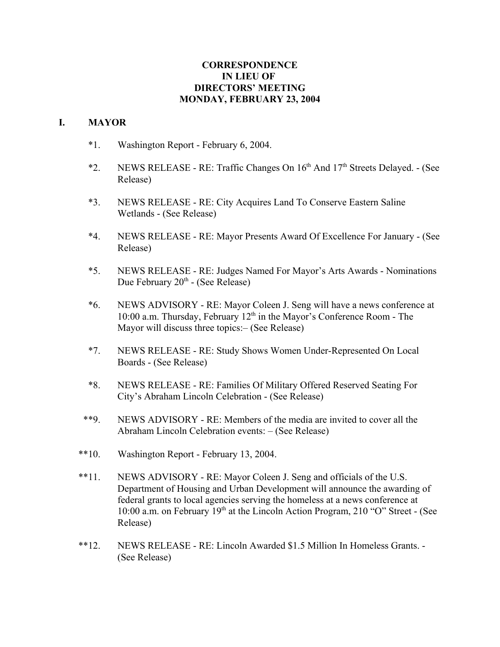## **CORRESPONDENCE IN LIEU OF DIRECTORS' MEETING MONDAY, FEBRUARY 23, 2004**

## **I. MAYOR**

- \*1. Washington Report February 6, 2004.
- \*2. NEWS RELEASE RE: Traffic Changes On  $16<sup>th</sup>$  And  $17<sup>th</sup>$  Streets Delayed. (See Release)
- \*3. NEWS RELEASE RE: City Acquires Land To Conserve Eastern Saline Wetlands - (See Release)
- \*4. NEWS RELEASE RE: Mayor Presents Award Of Excellence For January (See Release)
- \*5. NEWS RELEASE RE: Judges Named For Mayor's Arts Awards Nominations Due February  $20<sup>th</sup>$  - (See Release)
- \*6. NEWS ADVISORY RE: Mayor Coleen J. Seng will have a news conference at 10:00 a.m. Thursday, February  $12<sup>th</sup>$  in the Mayor's Conference Room - The Mayor will discuss three topics:– (See Release)
- \*7. NEWS RELEASE RE: Study Shows Women Under-Represented On Local Boards - (See Release)
- \*8. NEWS RELEASE RE: Families Of Military Offered Reserved Seating For City's Abraham Lincoln Celebration - (See Release)
- \*\*9. NEWS ADVISORY RE: Members of the media are invited to cover all the Abraham Lincoln Celebration events: – (See Release)
- \*\*10. Washington Report February 13, 2004.
- \*\*11. NEWS ADVISORY RE: Mayor Coleen J. Seng and officials of the U.S. Department of Housing and Urban Development will announce the awarding of federal grants to local agencies serving the homeless at a news conference at 10:00 a.m. on February 19<sup>th</sup> at the Lincoln Action Program, 210 "O" Street - (See Release)
- \*\*12. NEWS RELEASE RE: Lincoln Awarded \$1.5 Million In Homeless Grants. (See Release)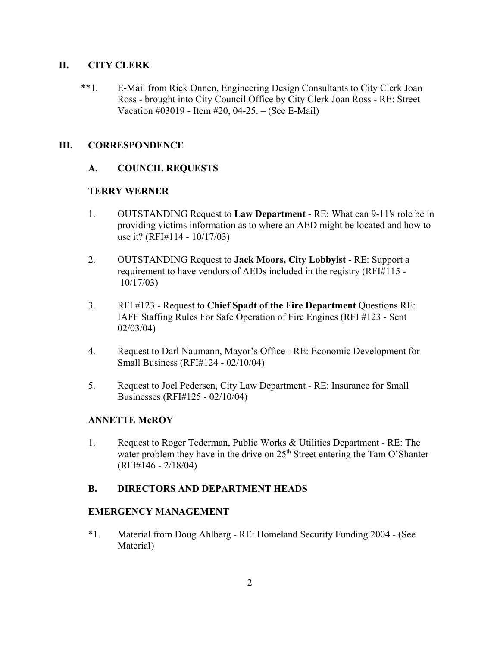## **II. CITY CLERK**

\*\*1. E-Mail from Rick Onnen, Engineering Design Consultants to City Clerk Joan Ross - brought into City Council Office by City Clerk Joan Ross - RE: Street Vacation #03019 - Item #20, 04-25. – (See E-Mail)

## **III. CORRESPONDENCE**

## **A. COUNCIL REQUESTS**

## **TERRY WERNER**

- 1. OUTSTANDING Request to **Law Department** RE: What can 9-11's role be in providing victims information as to where an AED might be located and how to use it? (RFI#114 - 10/17/03)
- 2. OUTSTANDING Request to **Jack Moors, City Lobbyist** RE: Support a requirement to have vendors of AEDs included in the registry (RFI#115 - 10/17/03)
- 3. RFI #123 Request to **Chief Spadt of the Fire Department** Questions RE: IAFF Staffing Rules For Safe Operation of Fire Engines (RFI #123 - Sent 02/03/04)
- 4. Request to Darl Naumann, Mayor's Office RE: Economic Development for Small Business (RFI#124 - 02/10/04)
- 5. Request to Joel Pedersen, City Law Department RE: Insurance for Small Businesses (RFI#125 - 02/10/04)

### **ANNETTE McROY**

1. Request to Roger Tederman, Public Works & Utilities Department - RE: The water problem they have in the drive on  $25<sup>th</sup>$  Street entering the Tam O'Shanter (RFI#146 - 2/18/04)

### **B. DIRECTORS AND DEPARTMENT HEADS**

### **EMERGENCY MANAGEMENT**

\*1. Material from Doug Ahlberg - RE: Homeland Security Funding 2004 - (See Material)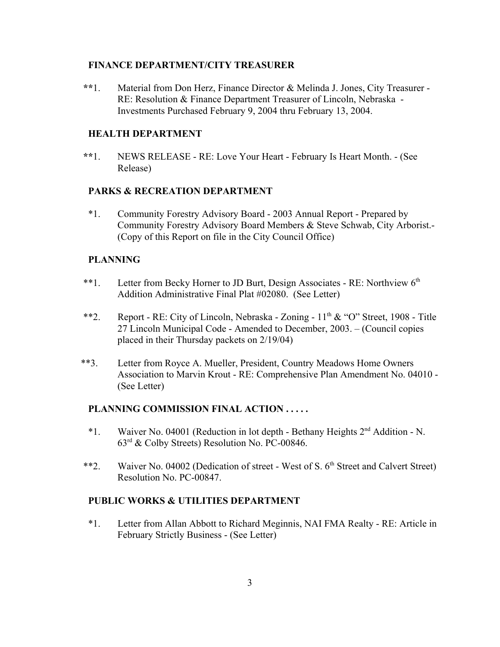#### **FINANCE DEPARTMENT/CITY TREASURER**

 **\*\***1. Material from Don Herz, Finance Director & Melinda J. Jones, City Treasurer - RE: Resolution & Finance Department Treasurer of Lincoln, Nebraska - Investments Purchased February 9, 2004 thru February 13, 2004.

## **HEALTH DEPARTMENT**

 **\*\***1. NEWS RELEASE - RE: Love Your Heart - February Is Heart Month. - (See Release)

### **PARKS & RECREATION DEPARTMENT**

\*1. Community Forestry Advisory Board - 2003 Annual Report - Prepared by Community Forestry Advisory Board Members & Steve Schwab, City Arborist.- (Copy of this Report on file in the City Council Office)

## **PLANNING**

- \*\*1. Letter from Becky Horner to JD Burt, Design Associates RE: Northview 6<sup>th</sup> Addition Administrative Final Plat #02080. (See Letter)
- \*\*2. Report RE: City of Lincoln, Nebraska Zoning  $11<sup>th</sup> \& ^\circ$  O" Street, 1908 Title 27 Lincoln Municipal Code - Amended to December, 2003. – (Council copies placed in their Thursday packets on 2/19/04)
- \*\*3. Letter from Royce A. Mueller, President, Country Meadows Home Owners Association to Marvin Krout - RE: Comprehensive Plan Amendment No. 04010 - (See Letter)

### **PLANNING COMMISSION FINAL ACTION . . . . .**

- \*1. Waiver No. 04001 (Reduction in lot depth Bethany Heights 2nd Addition N. 63rd & Colby Streets) Resolution No. PC-00846.
- <sup>\*\*</sup>2. Waiver No. 04002 (Dedication of street West of S. 6<sup>th</sup> Street and Calvert Street) Resolution No. PC-00847.

# **PUBLIC WORKS & UTILITIES DEPARTMENT**

\*1. Letter from Allan Abbott to Richard Meginnis, NAI FMA Realty - RE: Article in February Strictly Business - (See Letter)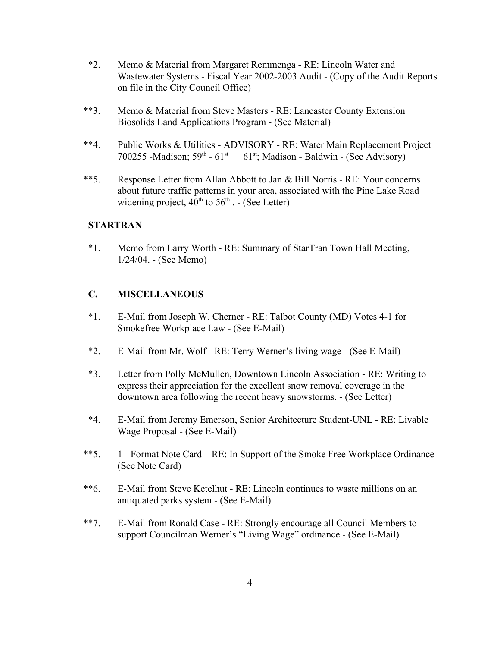- \*2. Memo & Material from Margaret Remmenga RE: Lincoln Water and Wastewater Systems - Fiscal Year 2002-2003 Audit - (Copy of the Audit Reports on file in the City Council Office)
- \*\*3. Memo & Material from Steve Masters RE: Lancaster County Extension Biosolids Land Applications Program - (See Material)
- \*\*4. Public Works & Utilities ADVISORY RE: Water Main Replacement Project 700255 -Madison;  $59<sup>th</sup> - 61<sup>st</sup> - 61<sup>st</sup>$ ; Madison - Baldwin - (See Advisory)
- \*\*5. Response Letter from Allan Abbott to Jan & Bill Norris RE: Your concerns about future traffic patterns in your area, associated with the Pine Lake Road widening project,  $40^{th}$  to  $56^{th}$  .  $\overline{\phantom{a}}$  (See Letter)

### **STARTRAN**

\*1. Memo from Larry Worth - RE: Summary of StarTran Town Hall Meeting, 1/24/04. - (See Memo)

## **C. MISCELLANEOUS**

- \*1. E-Mail from Joseph W. Cherner RE: Talbot County (MD) Votes 4-1 for Smokefree Workplace Law - (See E-Mail)
- \*2. E-Mail from Mr. Wolf RE: Terry Werner's living wage (See E-Mail)
- \*3. Letter from Polly McMullen, Downtown Lincoln Association RE: Writing to express their appreciation for the excellent snow removal coverage in the downtown area following the recent heavy snowstorms. - (See Letter)
- \*4. E-Mail from Jeremy Emerson, Senior Architecture Student-UNL RE: Livable Wage Proposal - (See E-Mail)
- \*\*5. 1 Format Note Card RE: In Support of the Smoke Free Workplace Ordinance (See Note Card)
- \*\*6. E-Mail from Steve Ketelhut RE: Lincoln continues to waste millions on an antiquated parks system - (See E-Mail)
- \*\*7. E-Mail from Ronald Case RE: Strongly encourage all Council Members to support Councilman Werner's "Living Wage" ordinance - (See E-Mail)